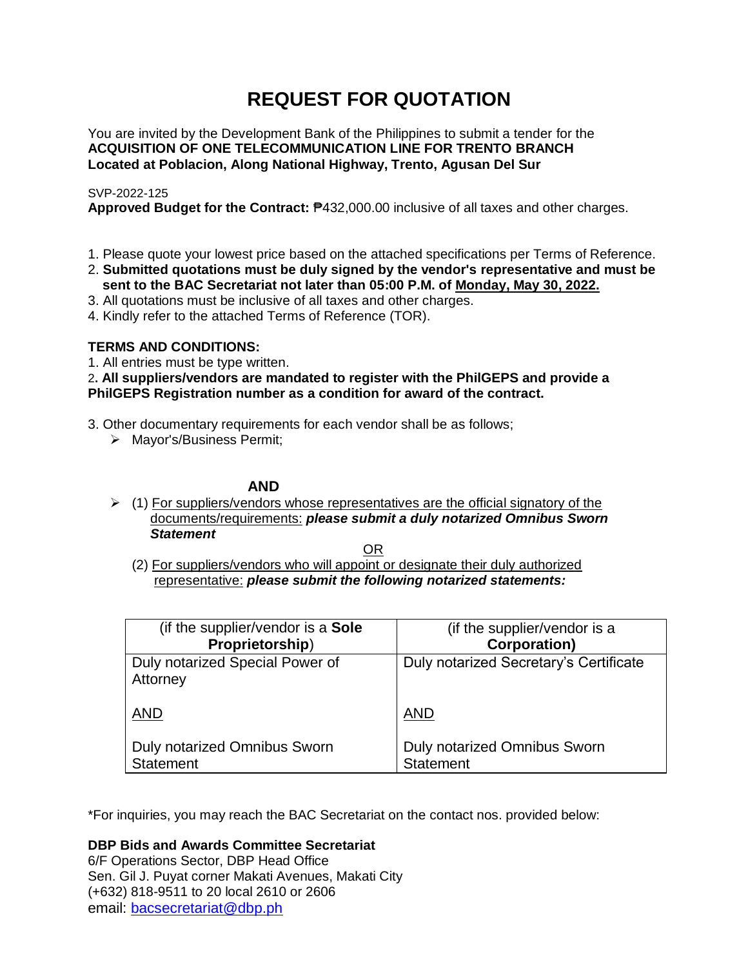# **REQUEST FOR QUOTATION**

You are invited by the Development Bank of the Philippines to submit a tender for the **ACQUISITION OF ONE TELECOMMUNICATION LINE FOR TRENTO BRANCH Located at Poblacion, Along National Highway, Trento, Agusan Del Sur**

# SVP-2022-125

**Approved Budget for the Contract:** ₱432,000.00 inclusive of all taxes and other charges.

- 1. Please quote your lowest price based on the attached specifications per Terms of Reference.
- 2. **Submitted quotations must be duly signed by the vendor's representative and must be sent to the BAC Secretariat not later than 05:00 P.M. of Monday, May 30, 2022.**
- 3. All quotations must be inclusive of all taxes and other charges.
- 4. Kindly refer to the attached Terms of Reference (TOR).

# **TERMS AND CONDITIONS:**

1. All entries must be type written.

2**. All suppliers/vendors are mandated to register with the PhilGEPS and provide a PhilGEPS Registration number as a condition for award of the contract.**

- 3. Other documentary requirements for each vendor shall be as follows;
	- > Mayor's/Business Permit;

# **AND**

 $\geq$  (1) For suppliers/vendors whose representatives are the official signatory of the documents/requirements: *please submit a duly notarized Omnibus Sworn Statement*

<u>OR Starting and the Starting OR Starting</u>

(2) For suppliers/vendors who will appoint or designate their duly authorized representative: *please submit the following notarized statements:*

| (if the supplier/vendor is a Sole           | (if the supplier/vendor is a           |
|---------------------------------------------|----------------------------------------|
| Proprietorship)                             | <b>Corporation)</b>                    |
| Duly notarized Special Power of<br>Attorney | Duly notarized Secretary's Certificate |
| <b>AND</b>                                  | <b>AND</b>                             |
| Duly notarized Omnibus Sworn                | Duly notarized Omnibus Sworn           |
| <b>Statement</b>                            | <b>Statement</b>                       |

\*For inquiries, you may reach the BAC Secretariat on the contact nos. provided below:

**DBP Bids and Awards Committee Secretariat** 

6/F Operations Sector, DBP Head Office Sen. Gil J. Puyat corner Makati Avenues, Makati City (+632) 818-9511 to 20 local 2610 or 2606 email: [bacsecretariat@dbp.ph](mailto:bacsecretariat@dbp.ph)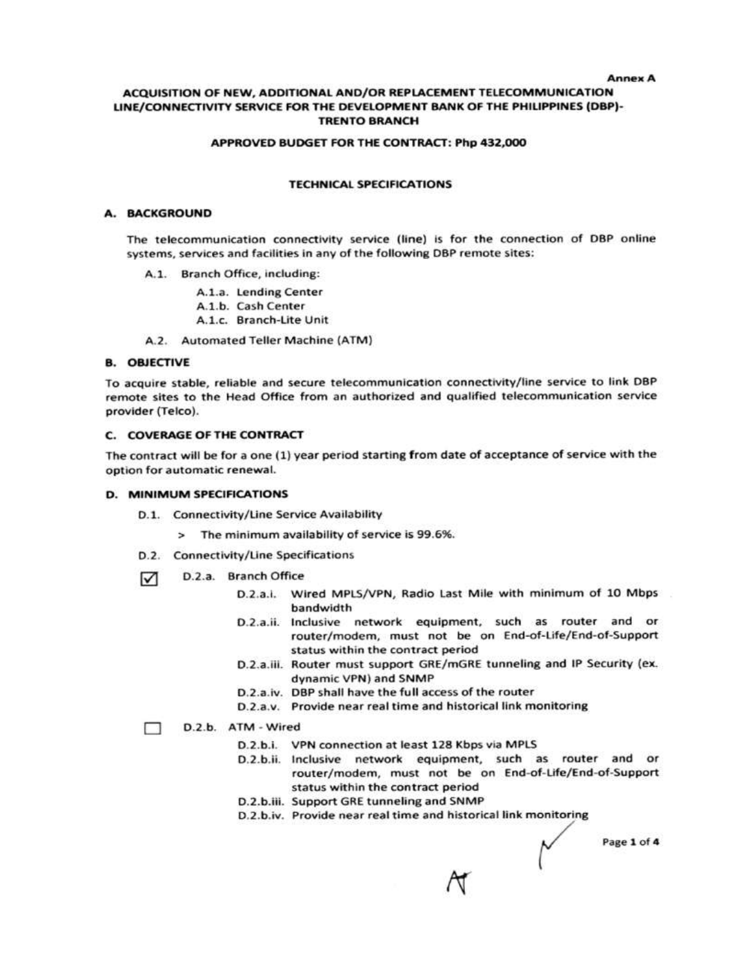#### **Annex A**

#### ACQUISITION OF NEW, ADDITIONAL AND/OR REPLACEMENT TELECOMMUNICATION LINE/CONNECTIVITY SERVICE FOR THE DEVELOPMENT BANK OF THE PHILIPPINES (DBP)-**TRENTO BRANCH**

#### APPROVED BUDGET FOR THE CONTRACT: Php 432,000

#### **TECHNICAL SPECIFICATIONS**

#### A. BACKGROUND

The telecommunication connectivity service (line) is for the connection of DBP online systems, services and facilities in any of the following DBP remote sites:

- A.1. Branch Office, including:
	- A.1.a. Lending Center
	- A.1.b. Cash Center
	- A.1.c. Branch-Lite Unit
- A.2. Automated Teller Machine (ATM)

#### **B. OBJECTIVE**

To acquire stable, reliable and secure telecommunication connectivity/line service to link DBP remote sites to the Head Office from an authorized and qualified telecommunication service provider (Telco).

#### **C. COVERAGE OF THE CONTRACT**

The contract will be for a one (1) year period starting from date of acceptance of service with the option for automatic renewal.

#### **D. MINIMUM SPECIFICATIONS**

- D.1. Connectivity/Line Service Availability
	- > The minimum availability of service is 99.6%.
- D.2. Connectivity/Line Specifications
- D.2.a. Branch Office ☑
	- D.2.a.i. Wired MPLS/VPN, Radio Last Mile with minimum of 10 Mbps bandwidth
	- D.2.a.ii. Inclusive network equipment, such as router and or router/modem, must not be on End-of-Life/End-of-Support status within the contract period
	- D.2.a.iii. Router must support GRE/mGRE tunneling and IP Security (ex. dynamic VPN) and SNMP
	- D.2.a.iv. DBP shall have the full access of the router
	- D.2.a.v. Provide near real time and historical link monitoring

#### D.2.b. ATM - Wired □

- D.2.b.i. VPN connection at least 128 Kbps via MPLS
- D.2.b.ii. Inclusive network equipment, such as router and or router/modem, must not be on End-of-Life/End-of-Support status within the contract period
- D.2.b.iii. Support GRE tunneling and SNMP
- D.2.b.iv. Provide near real time and historical link monitoring

Page 1 of 4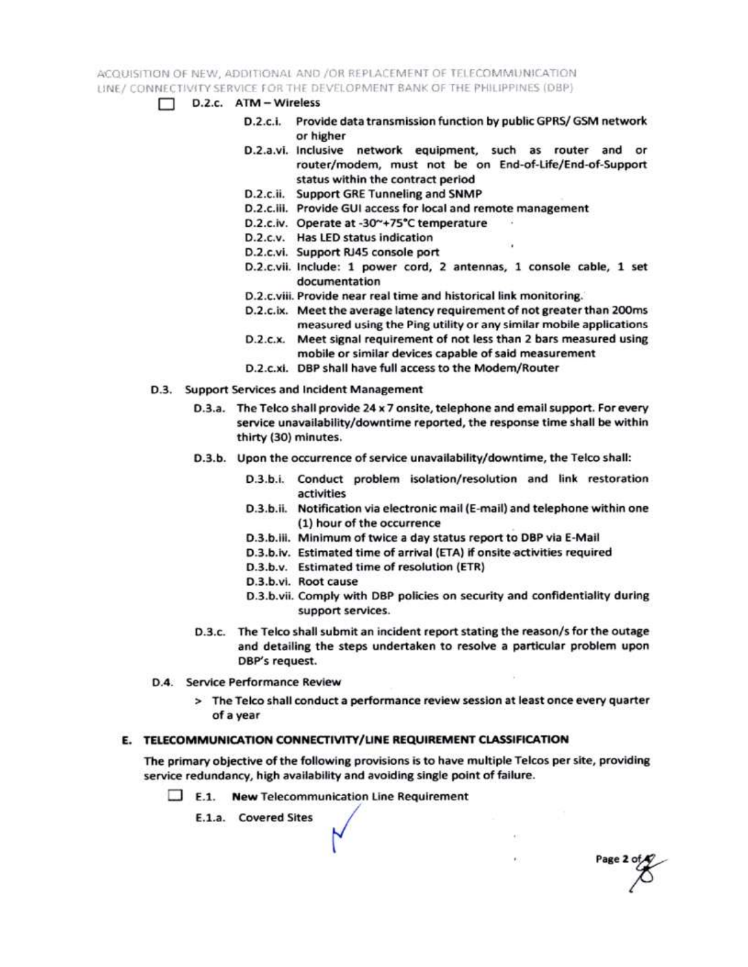ACQUISITION OF NEW, ADDITIONAL AND /OR REPLACEMENT OF TELECOMMUNICATION LINE / CONNECTIVITY SERVICE FOR THE DEVELOPMENT BANK OF THE PHILIPPINES (DBP)

- $\Box$  D.2.c.  $ATM Wireless$ 
	- D.2.c.i. Provide data transmission function by public GPRS/ GSM network or higher
	- D.2.a.vi. Inclusive network equipment, such as router and or router/modem, must not be on End-of-Life/End-of-Support status within the contract period
	- D.2.c.ii. Support GRE Tunneling and SNMP
	- D.2.c.iii. Provide GUI access for local and remote management
	- D.2.c.iv. Operate at -30~+75°C temperature
	- D.2.c.v. Has LED status indication
	- D.2.c.vi. Support RJ45 console port
	- D.2.c.vii. Include: 1 power cord, 2 antennas, 1 console cable, 1 set documentation
	- D.2.c.viii. Provide near real time and historical link monitoring.
	- D.2.c.ix. Meet the average latency requirement of not greater than 200ms measured using the Ping utility or any similar mobile applications
	- D.2.c.x. Meet signal requirement of not less than 2 bars measured using mobile or similar devices capable of said measurement
	- D.2.c.xi. DBP shall have full access to the Modem/Router
- D.3. Support Services and Incident Management
	- D.3.a. The Telco shall provide 24 x 7 onsite, telephone and email support. For every service unavailability/downtime reported, the response time shall be within thirty (30) minutes.
	- D.3.b. Upon the occurrence of service unavailability/downtime, the Telco shall:
		- D.3.b.i. Conduct problem isolation/resolution and link restoration activities
		- D.3.b.ii. Notification via electronic mail (E-mail) and telephone within one (1) hour of the occurrence
		- D.3.b.iii. Minimum of twice a day status report to DBP via E-Mail
		- D.3.b.iv. Estimated time of arrival (ETA) if onsite activities required
		- D.3.b.v. Estimated time of resolution (ETR)
		- D.3.b.vi. Root cause
		- D.3.b.vii. Comply with DBP policies on security and confidentiality during support services.

Page 2 of

- D.3.c. The Telco shall submit an incident report stating the reason/s for the outage and detailing the steps undertaken to resolve a particular problem upon DBP's request.
- D.4. Service Performance Review
	- > The Telco shall conduct a performance review session at least once every quarter of a year

### E. TELECOMMUNICATION CONNECTIVITY/LINE REQUIREMENT CLASSIFICATION

The primary objective of the following provisions is to have multiple Telcos per site, providing service redundancy, high availability and avoiding single point of failure.

 $\Box$  E.1. New Telecommunication Line Requirement

E.1.a. Covered Sites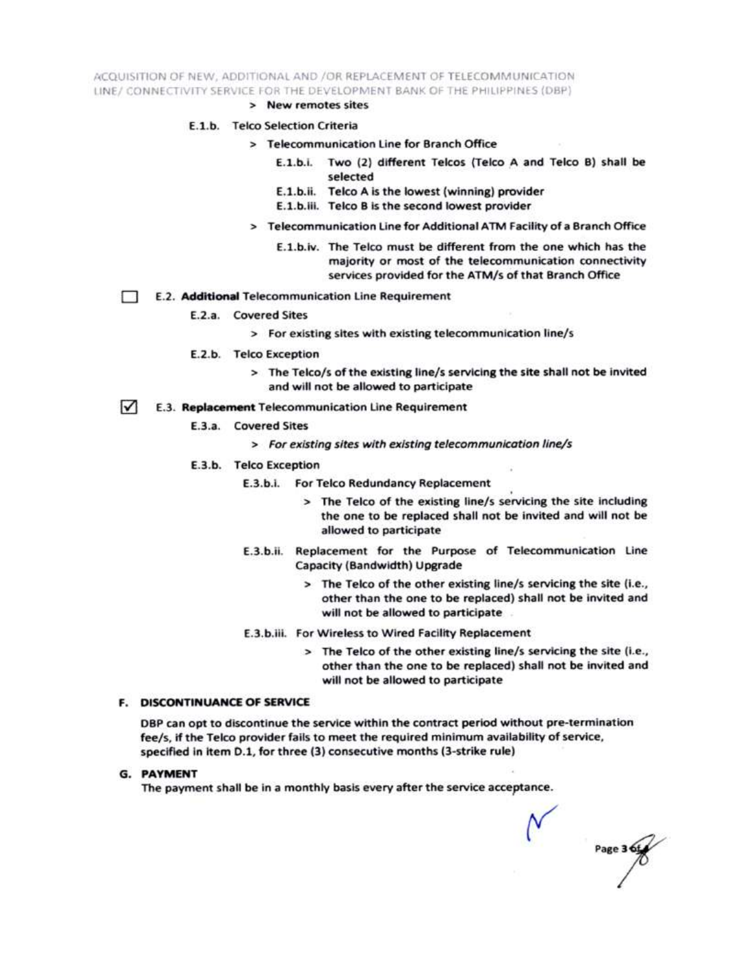ACQUISITION OF NEW, ADDITIONAL AND /OR REPLACEMENT OF TELECOMMUNICATION LINE/ CONNECTIVITY SERVICE FOR THE DEVELOPMENT BANK OF THE PHILIPPINES (DBP)

> New remotes sites

#### E.1.b. Telco Selection Criteria

- > Telecommunication Line for Branch Office
	- E.1.b.i. Two (2) different Telcos (Telco A and Telco B) shall be selected
	- E.1.b.ii. Telco A is the lowest (winning) provider
	- E.1.b.iii. Telco B is the second lowest provider
- > Telecommunication Line for Additional ATM Facility of a Branch Office
	- E.1.b.iv. The Telco must be different from the one which has the majority or most of the telecommunication connectivity services provided for the ATM/s of that Branch Office
- E.2. Additional Telecommunication Line Requirement Ð
	- E.2.a. Covered Sites
		- > For existing sites with existing telecommunication line/s
	- E.2.b. Telco Exception
		- > The Telco/s of the existing line/s servicing the site shall not be invited and will not be allowed to participate
- $\sqrt{ }$ E.3. Replacement Telecommunication Line Requirement
	- E.3.a. Covered Sites
		- > For existing sites with existing telecommunication line/s
	- E.3.b. Telco Exception
		- E.3.b.i. For Telco Redundancy Replacement
			- > The Telco of the existing line/s servicing the site including the one to be replaced shall not be invited and will not be allowed to participate
		- E.3.b.ii. Replacement for the Purpose of Telecommunication Line Capacity (Bandwidth) Upgrade
			- > The Telco of the other existing line/s servicing the site (i.e., other than the one to be replaced) shall not be invited and will not be allowed to participate
		- E.3.b.iii. For Wireless to Wired Facility Replacement
			- > The Telco of the other existing line/s servicing the site (i.e., other than the one to be replaced) shall not be invited and will not be allowed to participate

#### **F. DISCONTINUANCE OF SERVICE**

DBP can opt to discontinue the service within the contract period without pre-termination fee/s, if the Telco provider fails to meet the required minimum availability of service, specified in item D.1, for three (3) consecutive months (3-strike rule)

**G. PAYMENT** 

The payment shall be in a monthly basis every after the service acceptance.

Page 3 6t